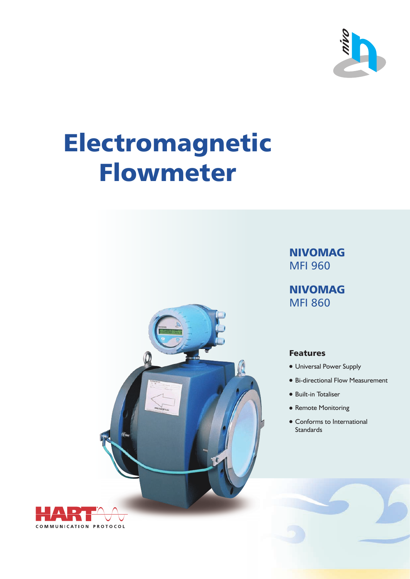

# Electromagnetic Flowmeter



NIVOMAG MFI 960

NIVOMAG MFI 860

# Features

- Universal Power Supply
- Bi-directional Flow Measurement
- Built-in Totaliser
- Remote Monitoring
- Conforms to International Standards

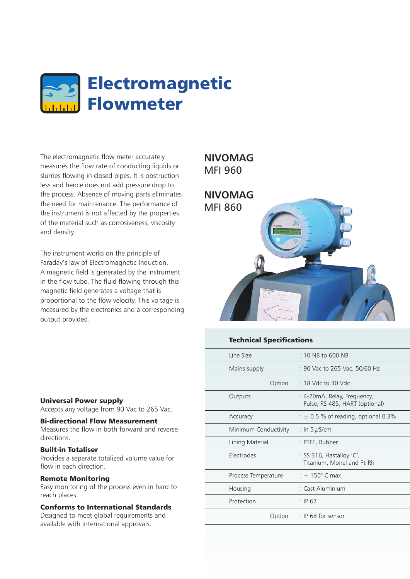

The electromagnetic flow meter accurately measures the flow rate of conducting liquids or slurries flowing in closed pipes. It is obstruction less and hence does not add pressure drop to the process. Absence of moving parts eliminates the need for maintenance. The performance of the instrument is not affected by the properties of the material such as corrosiveness, viscosity and density.

The instrument works on the principle of Faraday's law of Electromagnetic Induction. A magnetic field is generated by the instrument in the flow tube. The fluid flowing through this magnetic field generates a voltage that is proportional to the flow velocity. This voltage is measured by the electronics and a corresponding output provided.

# **NIVOMAG** MFI 960



# Technical Specifications

| Line Size            | $\pm$ 10 NB to 600 NB                                         |
|----------------------|---------------------------------------------------------------|
| Mains supply         | :90 Vac to 265 Vac, 50/60 Hz                                  |
|                      | Option : 18 Vdc to 30 Vdc                                     |
| Outputs              | : 4-20mA, Relay, Frequency,<br>Pulse, RS 485, HART (optional) |
| Accuracy             | $\pm$ 0.5 % of reading, optional 0.3%                         |
| Minimum Conductivity | : In 5 $\mu$ S/cm                                             |
| Lining Material      | : PTFE, Rubber                                                |
| Electrodes           | : SS 316, Hastalloy 'C',<br>Titanium, Monel and Pt-Rh         |
| Process Temperature  | $\pm$ + 150 $^{\circ}$ C max                                  |
| Housing              | : Cast Aluminium                                              |
| Protection           | $\therefore$ IP 67                                            |
|                      | Option : IP 68 for sensor                                     |

#### Universal Power supply

Accepts any voltage from 90 Vac to 265 Vac.

### Bi-directional Flow Measurement

Measures the flow in both forward and reverse directions.

#### Built-in Totaliser

Provides a separate totalized volume value for flow in each direction.

#### Remote Monitoring

Easy monitoring of the process even in hard to reach places.

## Conforms to International Standards

Designed to meet global requirements and available with international approvals.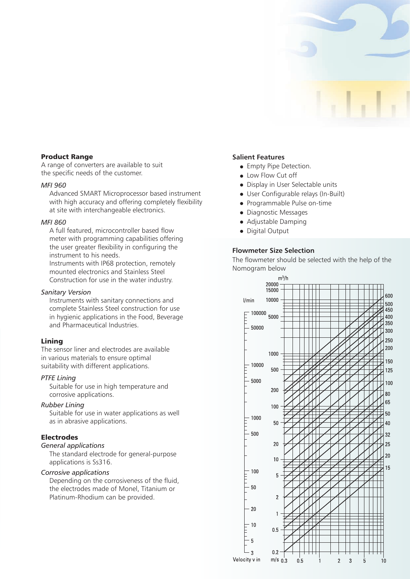

#### Product Range

A range of converters are available to suit the specific needs of the customer.

#### *MFI 960*

Advanced SMART Microprocessor based instrument with high accuracy and offering completely flexibility at site with interchangeable electronics.

#### *MFI 860*

A full featured, microcontroller based flow meter with programming capabilities offering the user greater flexibility in configuring the instrument to his needs.

Instruments with IP68 protection, remotely mounted electronics and Stainless Steel Construction for use in the water industry.

#### *Sanitary Version*

Instruments with sanitary connections and complete Stainless Steel construction for use in hygienic applications in the Food, Beverage and Pharmaceutical Industries.

#### Lining

The sensor liner and electrodes are available in various materials to ensure optimal suitability with different applications.

#### *PTFE Lining*

Suitable for use in high temperature and corrosive applications.

#### *Rubber Lining*

Suitable for use in water applications as well as in abrasive applications.

# Electrodes

*General applications*

The standard electrode for general-purpose applications is Ss316.

#### *Corrosive applications*

Depending on the corrosiveness of the fluid, the electrodes made of Monel, Titanium or Platinum-Rhodium can be provided.

#### **Salient Features**

- **•** Empty Pipe Detection.
- Low Flow Cut off
- Display in User Selectable units
- User Configurable relays (In-Built)
- Programmable Pulse on-time
- Diagnostic Messages
- Adjustable Damping
- Digital Output

#### **Flowmeter Size Selection**

The flowmeter should be selected with the help of the Nomogram below